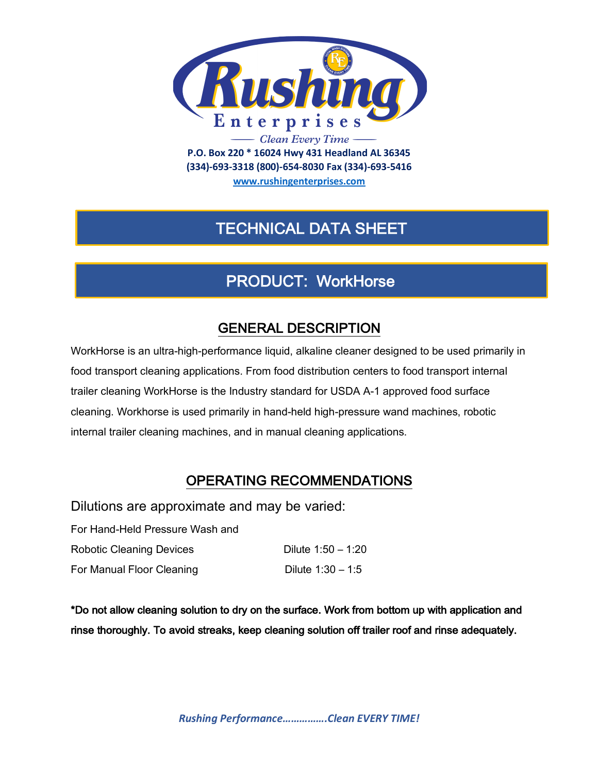

**(334)-693-3318 (800)-654-8030 Fax (334)-693-5416**

**www.rushingenterprises.com**

# TECHNICAL DATA SHEET

# PRODUCT: WorkHorse

## GENERAL DESCRIPTION

WorkHorse is an ultra-high-performance liquid, alkaline cleaner designed to be used primarily in food transport cleaning applications. From food distribution centers to food transport internal trailer cleaning WorkHorse is the Industry standard for USDA A-1 approved food surface cleaning. Workhorse is used primarily in hand-held high-pressure wand machines, robotic internal trailer cleaning machines, and in manual cleaning applications.

## OPERATING RECOMMENDATIONS

Dilutions are approximate and may be varied:

| For Hand-Held Pressure Wash and |                      |
|---------------------------------|----------------------|
| <b>Robotic Cleaning Devices</b> | Dilute $1:50 - 1:20$ |
| For Manual Floor Cleaning       | Dilute $1:30 - 1:5$  |

\*Do not allow cleaning solution to dry on the surface. Work from bottom up with application and rinse thoroughly. To avoid streaks, keep cleaning solution off trailer roof and rinse adequately.

*Rushing Performance…………….Clean EVERY TIME!*